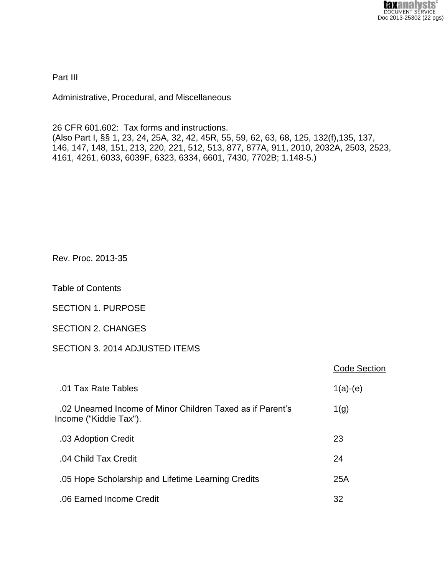Part III

Administrative, Procedural, and Miscellaneous

26 CFR 601.602: Tax forms and instructions. (Also Part I, §§ 1, 23, 24, 25A, 32, 42, 45R, 55, 59, 62, 63, 68, 125, 132(f),135, 137, 146, 147, 148, 151, 213, 220, 221, 512, 513, 877, 877A, 911, 2010, 2032A, 2503, 2523, 4161, 4261, 6033, 6039F, 6323, 6334, 6601, 7430, 7702B; 1.148-5.)

Rev. Proc. 2013-35

Table of Contents

SECTION 1. PURPOSE

SECTION 2. CHANGES

# SECTION 3. 2014 ADJUSTED ITEMS

|                                                                                      | <b>Code Section</b> |
|--------------------------------------------------------------------------------------|---------------------|
| .01 Tax Rate Tables                                                                  | $1(a)-(e)$          |
| .02 Unearned Income of Minor Children Taxed as if Parent's<br>Income ("Kiddie Tax"). | 1(g)                |
| .03 Adoption Credit                                                                  | 23                  |
| .04 Child Tax Credit                                                                 | 24                  |
| .05 Hope Scholarship and Lifetime Learning Credits                                   | 25A                 |
| .06 Earned Income Credit                                                             | 32                  |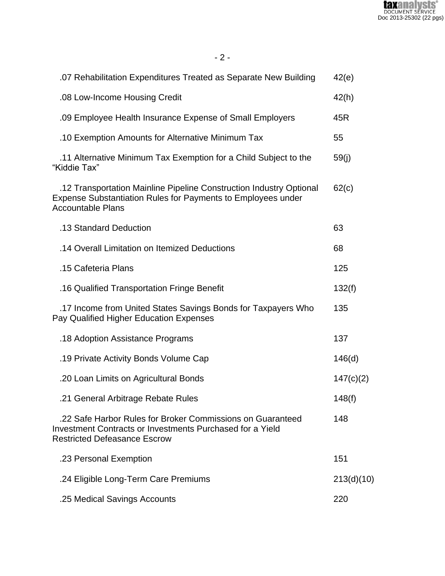

| .07 Rehabilitation Expenditures Treated as Separate New Building                                                                                                       | 42(e)      |
|------------------------------------------------------------------------------------------------------------------------------------------------------------------------|------------|
| .08 Low-Income Housing Credit                                                                                                                                          | 42(h)      |
| .09 Employee Health Insurance Expense of Small Employers                                                                                                               | 45R        |
| .10 Exemption Amounts for Alternative Minimum Tax                                                                                                                      | 55         |
| .11 Alternative Minimum Tax Exemption for a Child Subject to the<br>"Kiddie Tax"                                                                                       | 59(j)      |
| .12 Transportation Mainline Pipeline Construction Industry Optional<br><b>Expense Substantiation Rules for Payments to Employees under</b><br><b>Accountable Plans</b> | 62(c)      |
| .13 Standard Deduction                                                                                                                                                 | 63         |
| .14 Overall Limitation on Itemized Deductions                                                                                                                          | 68         |
| .15 Cafeteria Plans                                                                                                                                                    | 125        |
| .16 Qualified Transportation Fringe Benefit                                                                                                                            | 132(f)     |
| 17 Income from United States Savings Bonds for Taxpayers Who<br>Pay Qualified Higher Education Expenses                                                                | 135        |
| .18 Adoption Assistance Programs                                                                                                                                       | 137        |
| .19 Private Activity Bonds Volume Cap                                                                                                                                  | 146(d)     |
| .20 Loan Limits on Agricultural Bonds                                                                                                                                  | 147(c)(2)  |
| .21 General Arbitrage Rebate Rules                                                                                                                                     | 148(f)     |
| .22 Safe Harbor Rules for Broker Commissions on Guaranteed<br><b>Investment Contracts or Investments Purchased for a Yield</b><br><b>Restricted Defeasance Escrow</b>  | 148        |
| .23 Personal Exemption                                                                                                                                                 | 151        |
| .24 Eligible Long-Term Care Premiums                                                                                                                                   | 213(d)(10) |
| .25 Medical Savings Accounts                                                                                                                                           | 220        |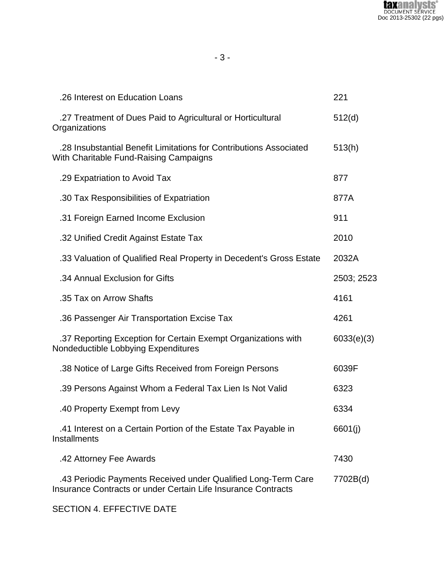

| .26 Interest on Education Loans                                                                                                | 221        |
|--------------------------------------------------------------------------------------------------------------------------------|------------|
| 27 Treatment of Dues Paid to Agricultural or Horticultural<br>Organizations                                                    | 512(d)     |
| .28 Insubstantial Benefit Limitations for Contributions Associated<br>With Charitable Fund-Raising Campaigns                   | 513(h)     |
| .29 Expatriation to Avoid Tax                                                                                                  | 877        |
| .30 Tax Responsibilities of Expatriation                                                                                       | 877A       |
| .31 Foreign Earned Income Exclusion                                                                                            | 911        |
| .32 Unified Credit Against Estate Tax                                                                                          | 2010       |
| .33 Valuation of Qualified Real Property in Decedent's Gross Estate                                                            | 2032A      |
| .34 Annual Exclusion for Gifts                                                                                                 | 2503; 2523 |
| .35 Tax on Arrow Shafts                                                                                                        | 4161       |
| .36 Passenger Air Transportation Excise Tax                                                                                    | 4261       |
| .37 Reporting Exception for Certain Exempt Organizations with<br>Nondeductible Lobbying Expenditures                           | 6033(e)(3) |
| .38 Notice of Large Gifts Received from Foreign Persons                                                                        | 6039F      |
| .39 Persons Against Whom a Federal Tax Lien Is Not Valid                                                                       | 6323       |
| .40 Property Exempt from Levy                                                                                                  | 6334       |
| .41 Interest on a Certain Portion of the Estate Tax Payable in<br><b>Installments</b>                                          | 6601(j)    |
| .42 Attorney Fee Awards                                                                                                        | 7430       |
| .43 Periodic Payments Received under Qualified Long-Term Care<br>Insurance Contracts or under Certain Life Insurance Contracts | 7702B(d)   |

SECTION 4. EFFECTIVE DATE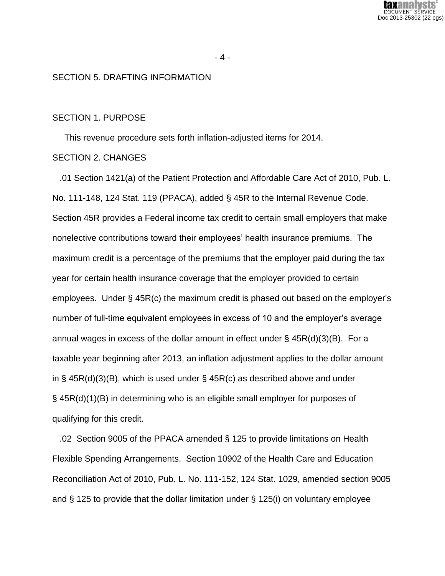

## SECTION 5. DRAFTING INFORMATION

#### SECTION 1. PURPOSE

This revenue procedure sets forth inflation-adjusted items for 2014.

## SECTION 2. CHANGES

 .01 Section 1421(a) of the Patient Protection and Affordable Care Act of 2010, Pub. L. No. 111-148, 124 Stat. 119 (PPACA), added § 45R to the Internal Revenue Code. Section 45R provides a Federal income tax credit to certain small employers that make nonelective contributions toward their employees' health insurance premiums. The maximum credit is a percentage of the premiums that the employer paid during the tax year for certain health insurance coverage that the employer provided to certain employees. Under § 45R(c) the maximum credit is phased out based on the employer's number of full-time equivalent employees in excess of 10 and the employer's average annual wages in excess of the dollar amount in effect under  $\S$  45R(d)(3)(B). For a taxable year beginning after 2013, an inflation adjustment applies to the dollar amount in § 45R(d)(3)(B), which is used under § 45R(c) as described above and under § 45R(d)(1)(B) in determining who is an eligible small employer for purposes of qualifying for this credit.

 .02 Section 9005 of the PPACA amended § 125 to provide limitations on Health Flexible Spending Arrangements. Section 10902 of the Health Care and Education Reconciliation Act of 2010, Pub. L. No. 111-152, 124 Stat. 1029, amended section 9005 and § 125 to provide that the dollar limitation under § 125(i) on voluntary employee

- 4 -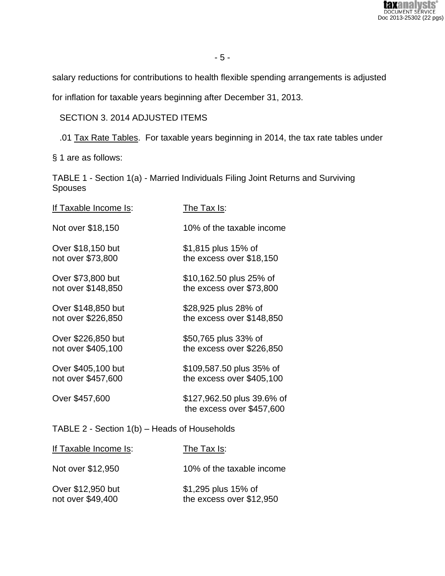

salary reductions for contributions to health flexible spending arrangements is adjusted

for inflation for taxable years beginning after December 31, 2013.

# SECTION 3. 2014 ADJUSTED ITEMS

.01 Tax Rate Tables. For taxable years beginning in 2014, the tax rate tables under

§ 1 are as follows:

TABLE 1 - Section 1(a) - Married Individuals Filing Joint Returns and Surviving Spouses

| If Taxable Income Is: | The Tax Is:                                             |
|-----------------------|---------------------------------------------------------|
| Not over \$18,150     | 10% of the taxable income                               |
| Over \$18,150 but     | \$1,815 plus 15% of                                     |
| not over \$73,800     | the excess over \$18,150                                |
| Over \$73,800 but     | \$10,162.50 plus 25% of                                 |
| not over \$148,850    | the excess over \$73,800                                |
| Over \$148,850 but    | \$28,925 plus 28% of                                    |
| not over \$226,850    | the excess over \$148,850                               |
| Over \$226,850 but    | \$50,765 plus 33% of                                    |
| not over \$405,100    | the excess over \$226,850                               |
| Over \$405,100 but    | \$109,587.50 plus 35% of                                |
| not over \$457,600    | the excess over \$405,100                               |
| Over \$457,600        | \$127,962.50 plus 39.6% of<br>the excess over \$457,600 |
|                       |                                                         |

# TABLE 2 - Section 1(b) – Heads of Households

| If Taxable Income Is:                  | The Tax Is:                                     |
|----------------------------------------|-------------------------------------------------|
| Not over \$12,950                      | 10% of the taxable income                       |
| Over \$12,950 but<br>not over \$49,400 | \$1,295 plus 15% of<br>the excess over \$12,950 |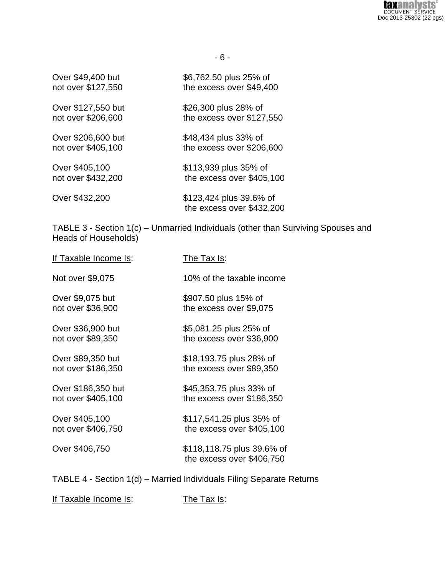

| Over \$49,400 but  | \$6,762.50 plus 25% of                               |
|--------------------|------------------------------------------------------|
| not over \$127,550 | the excess over \$49,400                             |
| Over \$127,550 but | \$26,300 plus 28% of                                 |
| not over \$206,600 | the excess over \$127,550                            |
| Over \$206,600 but | \$48,434 plus 33% of                                 |
| not over \$405,100 | the excess over \$206,600                            |
| Over \$405,100     | \$113,939 plus 35% of                                |
| not over \$432,200 | the excess over \$405,100                            |
| Over \$432,200     | \$123,424 plus 39.6% of<br>the excess over \$432,200 |

TABLE 3 - Section 1(c) – Unmarried Individuals (other than Surviving Spouses and Heads of Households)

| <u>If Taxable Income Is</u> : | The Tax Is:                                             |
|-------------------------------|---------------------------------------------------------|
| Not over \$9,075              | 10% of the taxable income                               |
| Over \$9,075 but              | \$907.50 plus 15% of                                    |
| not over \$36,900             | the excess over \$9,075                                 |
| Over \$36,900 but             | \$5,081.25 plus 25% of                                  |
| not over \$89,350             | the excess over \$36,900                                |
| Over \$89,350 but             | \$18,193.75 plus 28% of                                 |
| not over \$186,350            | the excess over \$89,350                                |
| Over \$186,350 but            | \$45,353.75 plus 33% of                                 |
| not over \$405,100            | the excess over \$186,350                               |
| Over \$405,100                | \$117,541.25 plus 35% of                                |
| not over \$406,750            | the excess over \$405,100                               |
| Over \$406,750                | \$118,118.75 plus 39.6% of<br>the excess over \$406,750 |

TABLE 4 - Section 1(d) – Married Individuals Filing Separate Returns

If Taxable Income Is: The Tax Is: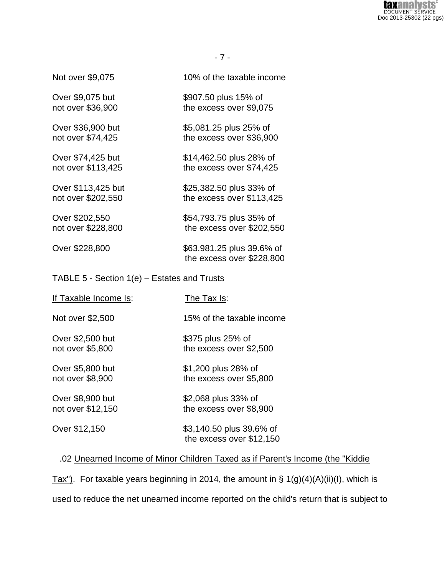вхнен VSTS **DOCUMENT SERVICE** Doc 2013-25302 (22 pgs)

- 7 -

Not over \$9,075 10% of the taxable income

Over \$9,075 but \$907.50 plus 15% of not over \$36,900 the excess over \$9,075

Over \$36,900 but \$5,081.25 plus 25% of not over \$74,425 the excess over \$36,900

Over \$74,425 but \$14,462.50 plus 28% of not over \$113,425 the excess over \$74,425

Over \$113,425 but \$25,382.50 plus 33% of not over \$202,550 the excess over \$113,425

Over \$202,550 \$54,793.75 plus 35% of not over \$228,800 the excess over \$202,550

Over \$228,800 \$63,981.25 plus 39.6% of the excess over \$228,800

TABLE 5 - Section 1(e) – Estates and Trusts

| If Taxable Income Is:                 | The Tax Is:                                          |
|---------------------------------------|------------------------------------------------------|
| Not over \$2,500                      | 15% of the taxable income                            |
| Over \$2,500 but<br>not over \$5,800  | \$375 plus 25% of<br>the excess over \$2,500         |
| Over \$5,800 but<br>not over \$8,900  | \$1,200 plus 28% of<br>the excess over \$5,800       |
| Over \$8,900 but<br>not over \$12,150 | \$2,068 plus 33% of<br>the excess over \$8,900       |
| Over \$12,150                         | \$3,140.50 plus 39.6% of<br>the excess over \$12,150 |
|                                       |                                                      |

# .02 Unearned Income of Minor Children Taxed as if Parent's Income (the "Kiddie

Tax"). For taxable years beginning in 2014, the amount in  $\S 1(g)(4)(A)(ii)(I)$ , which is used to reduce the net unearned income reported on the child's return that is subject to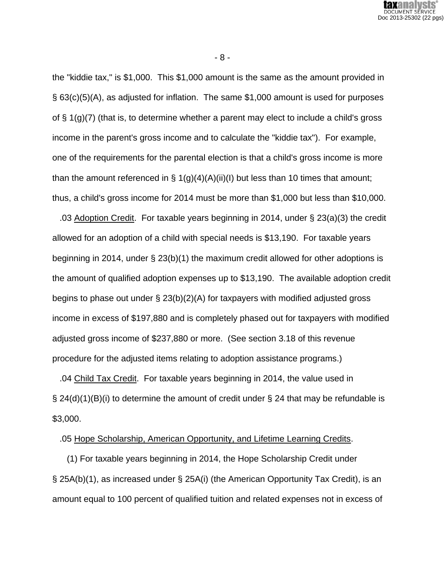

the "kiddie tax," is \$1,000. This \$1,000 amount is the same as the amount provided in § 63(c)(5)(A), as adjusted for inflation. The same \$1,000 amount is used for purposes of § 1(g)(7) (that is, to determine whether a parent may elect to include a child's gross income in the parent's gross income and to calculate the "kiddie tax"). For example, one of the requirements for the parental election is that a child's gross income is more than the amount referenced in  $\S 1(g)(4)(A)(ii)(I)$  but less than 10 times that amount; thus, a child's gross income for 2014 must be more than \$1,000 but less than \$10,000.

 .03 Adoption Credit. For taxable years beginning in 2014, under § 23(a)(3) the credit allowed for an adoption of a child with special needs is \$13,190. For taxable years beginning in 2014, under § 23(b)(1) the maximum credit allowed for other adoptions is the amount of qualified adoption expenses up to \$13,190. The available adoption credit begins to phase out under § 23(b)(2)(A) for taxpayers with modified adjusted gross income in excess of \$197,880 and is completely phased out for taxpayers with modified adjusted gross income of \$237,880 or more. (See section 3.18 of this revenue procedure for the adjusted items relating to adoption assistance programs.)

 .04 Child Tax Credit. For taxable years beginning in 2014, the value used in  $\S$  24(d)(1)(B)(i) to determine the amount of credit under  $\S$  24 that may be refundable is \$3,000.

.05 Hope Scholarship, American Opportunity, and Lifetime Learning Credits.

 (1) For taxable years beginning in 2014, the Hope Scholarship Credit under § 25A(b)(1), as increased under § 25A(i) (the American Opportunity Tax Credit), is an amount equal to 100 percent of qualified tuition and related expenses not in excess of

- 8 -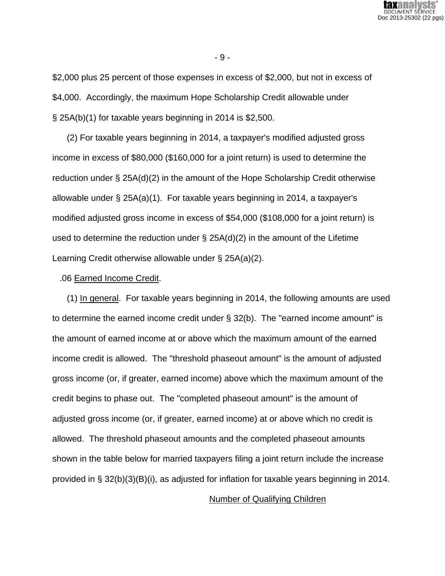

\$2,000 plus 25 percent of those expenses in excess of \$2,000, but not in excess of \$4,000. Accordingly, the maximum Hope Scholarship Credit allowable under § 25A(b)(1) for taxable years beginning in 2014 is \$2,500.

 (2) For taxable years beginning in 2014, a taxpayer's modified adjusted gross income in excess of \$80,000 (\$160,000 for a joint return) is used to determine the reduction under § 25A(d)(2) in the amount of the Hope Scholarship Credit otherwise allowable under § 25A(a)(1). For taxable years beginning in 2014, a taxpayer's modified adjusted gross income in excess of \$54,000 (\$108,000 for a joint return) is used to determine the reduction under § 25A(d)(2) in the amount of the Lifetime Learning Credit otherwise allowable under § 25A(a)(2).

#### .06 Earned Income Credit.

 (1) In general. For taxable years beginning in 2014, the following amounts are used to determine the earned income credit under § 32(b). The "earned income amount" is the amount of earned income at or above which the maximum amount of the earned income credit is allowed. The "threshold phaseout amount" is the amount of adjusted gross income (or, if greater, earned income) above which the maximum amount of the credit begins to phase out. The "completed phaseout amount" is the amount of adjusted gross income (or, if greater, earned income) at or above which no credit is allowed. The threshold phaseout amounts and the completed phaseout amounts shown in the table below for married taxpayers filing a joint return include the increase provided in § 32(b)(3)(B)(i), as adjusted for inflation for taxable years beginning in 2014.

#### Number of Qualifying Children

- 9 -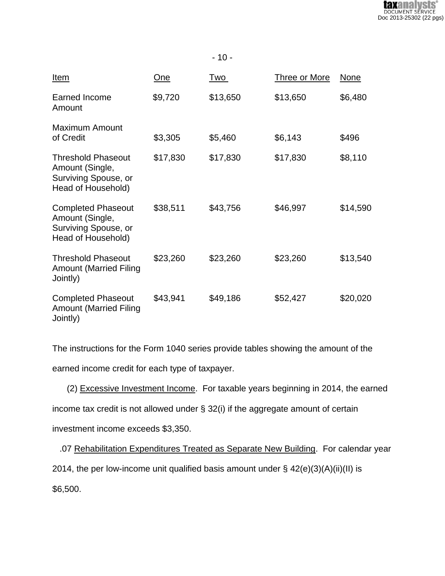

| <u>Item</u>                                                                                | One      | <u>Two</u> | <b>Three or More</b> | None     |
|--------------------------------------------------------------------------------------------|----------|------------|----------------------|----------|
| Earned Income<br>Amount                                                                    | \$9,720  | \$13,650   | \$13,650             | \$6,480  |
| <b>Maximum Amount</b><br>of Credit                                                         | \$3,305  | \$5,460    | \$6,143              | \$496    |
| <b>Threshold Phaseout</b><br>Amount (Single,<br>Surviving Spouse, or<br>Head of Household) | \$17,830 | \$17,830   | \$17,830             | \$8,110  |
| <b>Completed Phaseout</b><br>Amount (Single,<br>Surviving Spouse, or<br>Head of Household) | \$38,511 | \$43,756   | \$46,997             | \$14,590 |
| <b>Threshold Phaseout</b><br><b>Amount (Married Filing</b><br>Jointly)                     | \$23,260 | \$23,260   | \$23,260             | \$13,540 |
| <b>Completed Phaseout</b><br><b>Amount (Married Filing</b><br>Jointly)                     | \$43,941 | \$49,186   | \$52,427             | \$20,020 |

The instructions for the Form 1040 series provide tables showing the amount of the

earned income credit for each type of taxpayer.

(2) Excessive Investment Income. For taxable years beginning in 2014, the earned

income tax credit is not allowed under § 32(i) if the aggregate amount of certain

investment income exceeds \$3,350.

.07 Rehabilitation Expenditures Treated as Separate New Building. For calendar year

2014, the per low-income unit qualified basis amount under § 42(e)(3)(A)(ii)(II) is

\$6,500.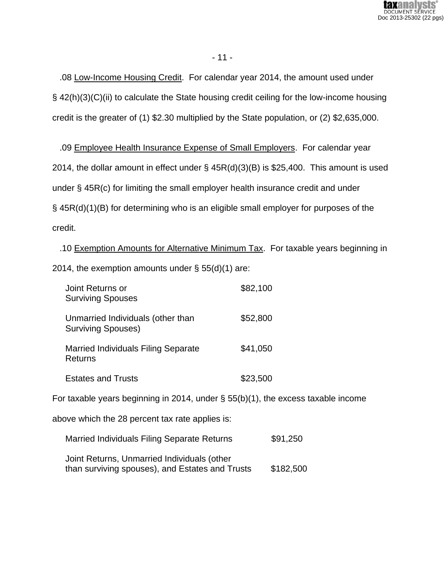

 .08 Low-Income Housing Credit. For calendar year 2014, the amount used under § 42(h)(3)(C)(ii) to calculate the State housing credit ceiling for the low-income housing credit is the greater of (1) \$2.30 multiplied by the State population, or (2) \$2,635,000.

 .09 Employee Health Insurance Expense of Small Employers. For calendar year 2014, the dollar amount in effect under § 45R(d)(3)(B) is \$25,400. This amount is used under § 45R(c) for limiting the small employer health insurance credit and under § 45R(d)(1)(B) for determining who is an eligible small employer for purposes of the credit.

 .10 Exemption Amounts for Alternative Minimum Tax. For taxable years beginning in 2014, the exemption amounts under § 55(d)(1) are:

| Joint Returns or<br><b>Surviving Spouses</b>                   | \$82,100 |
|----------------------------------------------------------------|----------|
| Unmarried Individuals (other than<br><b>Surviving Spouses)</b> | \$52,800 |
| <b>Married Individuals Filing Separate</b><br><b>Returns</b>   | \$41,050 |
| <b>Estates and Trusts</b>                                      | \$23,500 |

For taxable years beginning in 2014, under § 55(b)(1), the excess taxable income

above which the 28 percent tax rate applies is:

Married Individuals Filing Separate Returns \$91,250

Joint Returns, Unmarried Individuals (other than surviving spouses), and Estates and Trusts \$182,500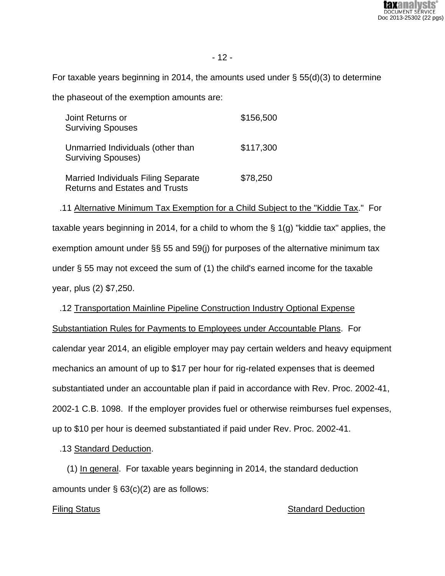

For taxable years beginning in 2014, the amounts used under  $\S$  55(d)(3) to determine

the phaseout of the exemption amounts are:

| Joint Returns or<br><b>Surviving Spouses</b>                                        | \$156,500 |
|-------------------------------------------------------------------------------------|-----------|
| Unmarried Individuals (other than<br><b>Surviving Spouses)</b>                      | \$117,300 |
| <b>Married Individuals Filing Separate</b><br><b>Returns and Estates and Trusts</b> | \$78,250  |

 .11 Alternative Minimum Tax Exemption for a Child Subject to the "Kiddie Tax." For taxable years beginning in 2014, for a child to whom the § 1(g) "kiddie tax" applies, the exemption amount under §§ 55 and 59(j) for purposes of the alternative minimum tax under § 55 may not exceed the sum of (1) the child's earned income for the taxable year, plus (2) \$7,250.

 .12 Transportation Mainline Pipeline Construction Industry Optional Expense Substantiation Rules for Payments to Employees under Accountable Plans. For calendar year 2014, an eligible employer may pay certain welders and heavy equipment mechanics an amount of up to \$17 per hour for rig-related expenses that is deemed substantiated under an accountable plan if paid in accordance with Rev. Proc. 2002-41, 2002-1 C.B. 1098. If the employer provides fuel or otherwise reimburses fuel expenses, up to \$10 per hour is deemed substantiated if paid under Rev. Proc. 2002-41.

.13 Standard Deduction.

 (1) In general. For taxable years beginning in 2014, the standard deduction amounts under § 63(c)(2) are as follows:

### Filing Status **Standard Deduction** Standard Deduction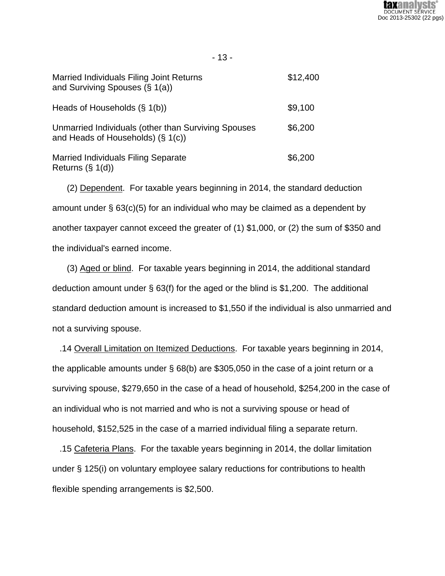

| ×<br>۰. |  |
|---------|--|
|---------|--|

| <b>Married Individuals Filing Joint Returns</b><br>and Surviving Spouses (§ 1(a))           | \$12,400 |
|---------------------------------------------------------------------------------------------|----------|
| Heads of Households $(\S 1(b))$                                                             | \$9,100  |
| Unmarried Individuals (other than Surviving Spouses<br>and Heads of Households) $(\S 1(c))$ | \$6,200  |
| <b>Married Individuals Filing Separate</b><br>Returns $(\S 1(d))$                           | \$6,200  |

 (2) Dependent. For taxable years beginning in 2014, the standard deduction amount under § 63(c)(5) for an individual who may be claimed as a dependent by another taxpayer cannot exceed the greater of (1) \$1,000, or (2) the sum of \$350 and the individual's earned income.

 (3) Aged or blind. For taxable years beginning in 2014, the additional standard deduction amount under § 63(f) for the aged or the blind is \$1,200. The additional standard deduction amount is increased to \$1,550 if the individual is also unmarried and not a surviving spouse.

 .14 Overall Limitation on Itemized Deductions. For taxable years beginning in 2014, the applicable amounts under § 68(b) are \$305,050 in the case of a joint return or a surviving spouse, \$279,650 in the case of a head of household, \$254,200 in the case of an individual who is not married and who is not a surviving spouse or head of household, \$152,525 in the case of a married individual filing a separate return.

 .15 Cafeteria Plans. For the taxable years beginning in 2014, the dollar limitation under § 125(i) on voluntary employee salary reductions for contributions to health flexible spending arrangements is \$2,500.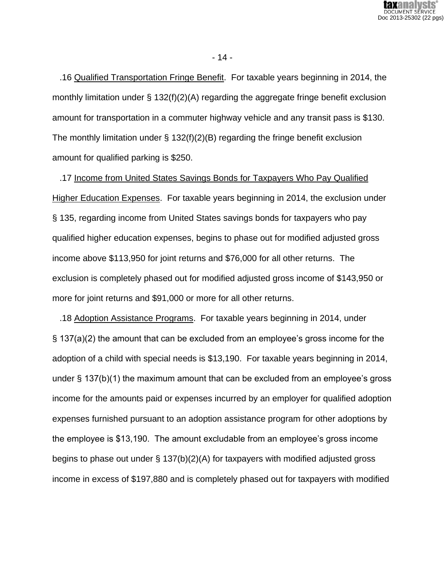

 .16 Qualified Transportation Fringe Benefit. For taxable years beginning in 2014, the monthly limitation under § 132(f)(2)(A) regarding the aggregate fringe benefit exclusion amount for transportation in a commuter highway vehicle and any transit pass is \$130. The monthly limitation under  $\S$  132(f)(2)(B) regarding the fringe benefit exclusion amount for qualified parking is \$250.

 .17 Income from United States Savings Bonds for Taxpayers Who Pay Qualified Higher Education Expenses. For taxable years beginning in 2014, the exclusion under § 135, regarding income from United States savings bonds for taxpayers who pay qualified higher education expenses, begins to phase out for modified adjusted gross income above \$113,950 for joint returns and \$76,000 for all other returns. The exclusion is completely phased out for modified adjusted gross income of \$143,950 or more for joint returns and \$91,000 or more for all other returns.

 .18 Adoption Assistance Programs. For taxable years beginning in 2014, under § 137(a)(2) the amount that can be excluded from an employee's gross income for the adoption of a child with special needs is \$13,190. For taxable years beginning in 2014, under § 137(b)(1) the maximum amount that can be excluded from an employee's gross income for the amounts paid or expenses incurred by an employer for qualified adoption expenses furnished pursuant to an adoption assistance program for other adoptions by the employee is \$13,190. The amount excludable from an employee's gross income begins to phase out under § 137(b)(2)(A) for taxpayers with modified adjusted gross income in excess of \$197,880 and is completely phased out for taxpayers with modified

- 14 -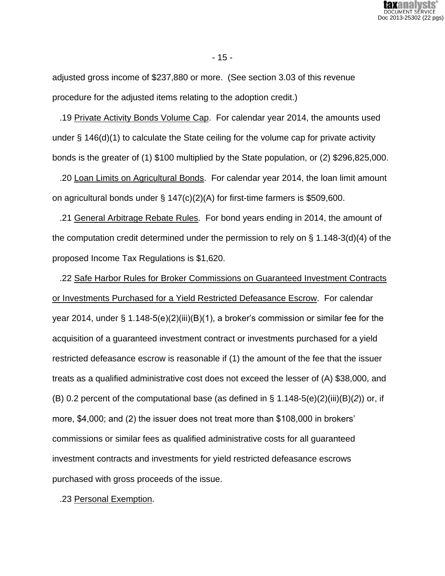

- 15 -

adjusted gross income of \$237,880 or more. (See section 3.03 of this revenue procedure for the adjusted items relating to the adoption credit.)

 .19 Private Activity Bonds Volume Cap. For calendar year 2014, the amounts used under  $\S$  146(d)(1) to calculate the State ceiling for the volume cap for private activity bonds is the greater of (1) \$100 multiplied by the State population, or (2) \$296,825,000.

 .20 Loan Limits on Agricultural Bonds. For calendar year 2014, the loan limit amount on agricultural bonds under § 147(c)(2)(A) for first-time farmers is \$509,600.

 .21 General Arbitrage Rebate Rules. For bond years ending in 2014, the amount of the computation credit determined under the permission to rely on § 1.148-3(d)(4) of the proposed Income Tax Regulations is \$1,620.

 .22 Safe Harbor Rules for Broker Commissions on Guaranteed Investment Contracts or Investments Purchased for a Yield Restricted Defeasance Escrow. For calendar year 2014, under § 1.148-5(e)(2)(iii)(B)(1), a broker's commission or similar fee for the acquisition of a guaranteed investment contract or investments purchased for a yield restricted defeasance escrow is reasonable if (1) the amount of the fee that the issuer treats as a qualified administrative cost does not exceed the lesser of (A) \$38,000, and (B) 0.2 percent of the computational base (as defined in § 1.148-5(e)(2)(iii)(B)(*2*)) or, if more, \$4,000; and (2) the issuer does not treat more than \$108,000 in brokers' commissions or similar fees as qualified administrative costs for all guaranteed investment contracts and investments for yield restricted defeasance escrows purchased with gross proceeds of the issue.

.23 Personal Exemption.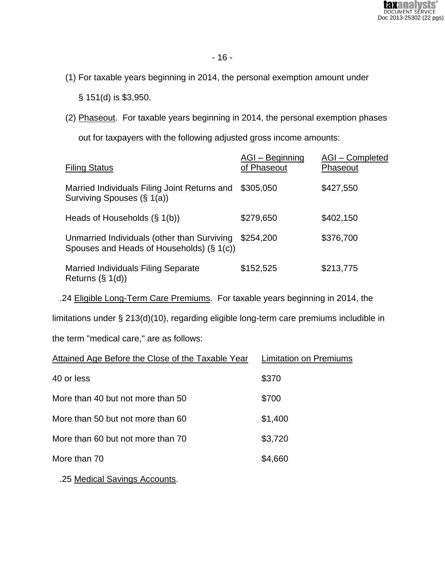

(1) For taxable years beginning in 2014, the personal exemption amount under

§ 151(d) is \$3,950.

(2) Phaseout. For taxable years beginning in 2014, the personal exemption phases

out for taxpayers with the following adjusted gross income amounts:

| <b>Filing Status</b>                                                                     | AGI-Beginning<br>of Phaseout | AGI-Completed<br>Phaseout |
|------------------------------------------------------------------------------------------|------------------------------|---------------------------|
| Married Individuals Filing Joint Returns and<br>Surviving Spouses (§ 1(a))               | \$305,050                    | \$427,550                 |
| Heads of Households $(\S 1(b))$                                                          | \$279,650                    | \$402,150                 |
| Unmarried Individuals (other than Surviving<br>Spouses and Heads of Households) (§ 1(c)) | \$254,200                    | \$376,700                 |
| <b>Married Individuals Filing Separate</b><br>Returns $(\S 1(d))$                        | \$152,525                    | \$213,775                 |

.24 Eligible Long-Term Care Premiums. For taxable years beginning in 2014, the

limitations under § 213(d)(10), regarding eligible long-term care premiums includible in

the term "medical care," are as follows:

| Attained Age Before the Close of the Taxable Year | Limitation on Premiums |
|---------------------------------------------------|------------------------|
| 40 or less                                        | \$370                  |
| More than 40 but not more than 50                 | \$700                  |
| More than 50 but not more than 60                 | \$1,400                |
| More than 60 but not more than 70                 | \$3,720                |
| More than 70                                      | \$4,660                |
|                                                   |                        |

.25 Medical Savings Accounts.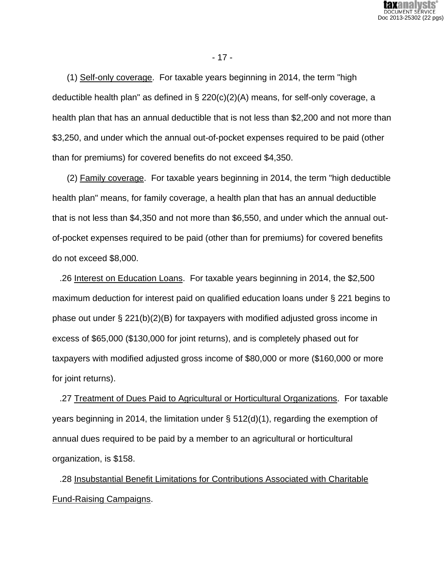

 (1) Self-only coverage. For taxable years beginning in 2014, the term "high deductible health plan" as defined in § 220(c)(2)(A) means, for self-only coverage, a health plan that has an annual deductible that is not less than \$2,200 and not more than \$3,250, and under which the annual out-of-pocket expenses required to be paid (other than for premiums) for covered benefits do not exceed \$4,350.

 (2) Family coverage. For taxable years beginning in 2014, the term "high deductible health plan" means, for family coverage, a health plan that has an annual deductible that is not less than \$4,350 and not more than \$6,550, and under which the annual outof-pocket expenses required to be paid (other than for premiums) for covered benefits do not exceed \$8,000.

 .26 Interest on Education Loans. For taxable years beginning in 2014, the \$2,500 maximum deduction for interest paid on qualified education loans under § 221 begins to phase out under  $\S 221(b)(2)(B)$  for taxpayers with modified adjusted gross income in excess of \$65,000 (\$130,000 for joint returns), and is completely phased out for taxpayers with modified adjusted gross income of \$80,000 or more (\$160,000 or more for joint returns).

 .27 Treatment of Dues Paid to Agricultural or Horticultural Organizations. For taxable years beginning in 2014, the limitation under § 512(d)(1), regarding the exemption of annual dues required to be paid by a member to an agricultural or horticultural organization, is \$158.

 .28 Insubstantial Benefit Limitations for Contributions Associated with Charitable Fund-Raising Campaigns.

- 17 -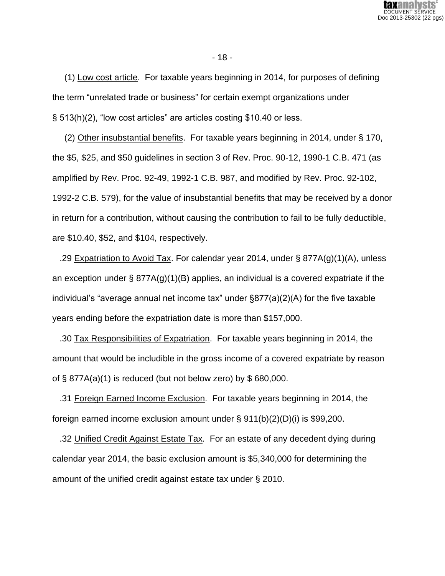

- 18 -

 (1) Low cost article. For taxable years beginning in 2014, for purposes of defining the term "unrelated trade or business" for certain exempt organizations under § 513(h)(2), "low cost articles" are articles costing \$10.40 or less.

 (2) Other insubstantial benefits. For taxable years beginning in 2014, under § 170, the \$5, \$25, and \$50 guidelines in section 3 of Rev. Proc. 90-12, 1990-1 C.B. 471 (as amplified by Rev. Proc. 92-49, 1992-1 C.B. 987, and modified by Rev. Proc. 92-102, 1992-2 C.B. 579), for the value of insubstantial benefits that may be received by a donor in return for a contribution, without causing the contribution to fail to be fully deductible, are \$10.40, \$52, and \$104, respectively.

 .29 Expatriation to Avoid Tax. For calendar year 2014, under § 877A(g)(1)(A), unless an exception under § 877A(g)(1)(B) applies, an individual is a covered expatriate if the individual's "average annual net income tax" under §877(a)(2)(A) for the five taxable years ending before the expatriation date is more than \$157,000.

 .30 Tax Responsibilities of Expatriation. For taxable years beginning in 2014, the amount that would be includible in the gross income of a covered expatriate by reason of  $\S$  877A(a)(1) is reduced (but not below zero) by  $\S$  680,000.

 .31 Foreign Earned Income Exclusion. For taxable years beginning in 2014, the foreign earned income exclusion amount under § 911(b)(2)(D)(i) is \$99,200.

 .32 Unified Credit Against Estate Tax. For an estate of any decedent dying during calendar year 2014, the basic exclusion amount is \$5,340,000 for determining the amount of the unified credit against estate tax under § 2010.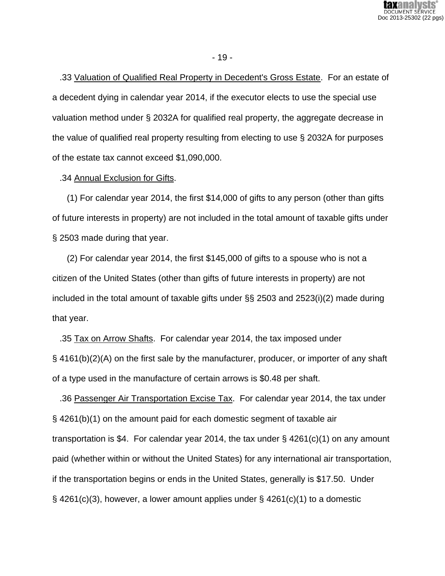

- 19 -

 .33 Valuation of Qualified Real Property in Decedent's Gross Estate. For an estate of a decedent dying in calendar year 2014, if the executor elects to use the special use valuation method under § 2032A for qualified real property, the aggregate decrease in the value of qualified real property resulting from electing to use § 2032A for purposes of the estate tax cannot exceed \$1,090,000.

.34 Annual Exclusion for Gifts.

 (1) For calendar year 2014, the first \$14,000 of gifts to any person (other than gifts of future interests in property) are not included in the total amount of taxable gifts under § 2503 made during that year.

 (2) For calendar year 2014, the first \$145,000 of gifts to a spouse who is not a citizen of the United States (other than gifts of future interests in property) are not included in the total amount of taxable gifts under §§ 2503 and 2523(i)(2) made during that year.

 .35 Tax on Arrow Shafts. For calendar year 2014, the tax imposed under § 4161(b)(2)(A) on the first sale by the manufacturer, producer, or importer of any shaft of a type used in the manufacture of certain arrows is \$0.48 per shaft.

 .36 Passenger Air Transportation Excise Tax. For calendar year 2014, the tax under § 4261(b)(1) on the amount paid for each domestic segment of taxable air transportation is \$4. For calendar year 2014, the tax under  $\S$  4261(c)(1) on any amount paid (whether within or without the United States) for any international air transportation, if the transportation begins or ends in the United States, generally is \$17.50. Under  $\S$  4261(c)(3), however, a lower amount applies under  $\S$  4261(c)(1) to a domestic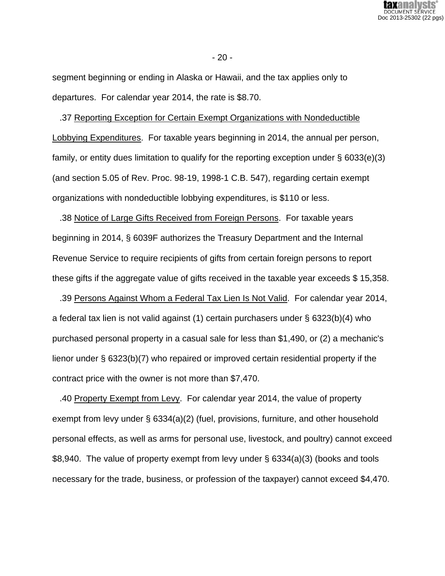

- 20 -

segment beginning or ending in Alaska or Hawaii, and the tax applies only to departures. For calendar year 2014, the rate is \$8.70.

 .37 Reporting Exception for Certain Exempt Organizations with Nondeductible Lobbying Expenditures. For taxable years beginning in 2014, the annual per person, family, or entity dues limitation to qualify for the reporting exception under § 6033(e)(3) (and section 5.05 of Rev. Proc. 98-19, 1998-1 C.B. 547), regarding certain exempt organizations with nondeductible lobbying expenditures, is \$110 or less.

 .38 Notice of Large Gifts Received from Foreign Persons. For taxable years beginning in 2014, § 6039F authorizes the Treasury Department and the Internal Revenue Service to require recipients of gifts from certain foreign persons to report these gifts if the aggregate value of gifts received in the taxable year exceeds \$ 15,358.

 .39 Persons Against Whom a Federal Tax Lien Is Not Valid. For calendar year 2014, a federal tax lien is not valid against (1) certain purchasers under § 6323(b)(4) who purchased personal property in a casual sale for less than \$1,490, or (2) a mechanic's lienor under § 6323(b)(7) who repaired or improved certain residential property if the contract price with the owner is not more than \$7,470.

 .40 Property Exempt from Levy. For calendar year 2014, the value of property exempt from levy under § 6334(a)(2) (fuel, provisions, furniture, and other household personal effects, as well as arms for personal use, livestock, and poultry) cannot exceed \$8,940. The value of property exempt from levy under § 6334(a)(3) (books and tools necessary for the trade, business, or profession of the taxpayer) cannot exceed \$4,470.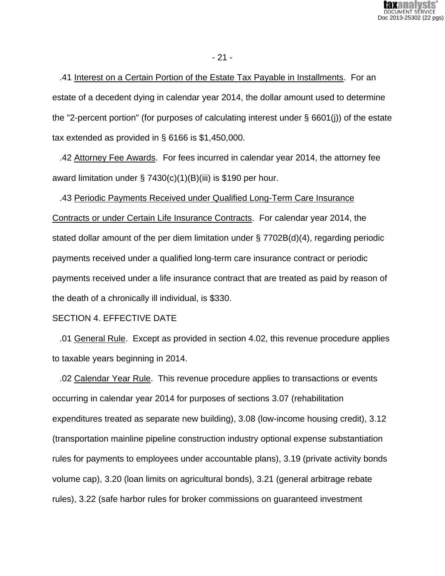

- 21 -

 .41 Interest on a Certain Portion of the Estate Tax Payable in Installments. For an estate of a decedent dying in calendar year 2014, the dollar amount used to determine the "2-percent portion" (for purposes of calculating interest under § 6601(j)) of the estate tax extended as provided in § 6166 is \$1,450,000.

 .42 Attorney Fee Awards. For fees incurred in calendar year 2014, the attorney fee award limitation under § 7430(c)(1)(B)(iii) is \$190 per hour.

 .43 Periodic Payments Received under Qualified Long-Term Care Insurance Contracts or under Certain Life Insurance Contracts. For calendar year 2014, the stated dollar amount of the per diem limitation under § 7702B(d)(4), regarding periodic payments received under a qualified long-term care insurance contract or periodic payments received under a life insurance contract that are treated as paid by reason of the death of a chronically ill individual, is \$330.

#### SECTION 4. EFFECTIVE DATE

 .01 General Rule. Except as provided in section 4.02, this revenue procedure applies to taxable years beginning in 2014.

 .02 Calendar Year Rule. This revenue procedure applies to transactions or events occurring in calendar year 2014 for purposes of sections 3.07 (rehabilitation expenditures treated as separate new building), 3.08 (low-income housing credit), 3.12 (transportation mainline pipeline construction industry optional expense substantiation rules for payments to employees under accountable plans), 3.19 (private activity bonds volume cap), 3.20 (loan limits on agricultural bonds), 3.21 (general arbitrage rebate rules), 3.22 (safe harbor rules for broker commissions on guaranteed investment